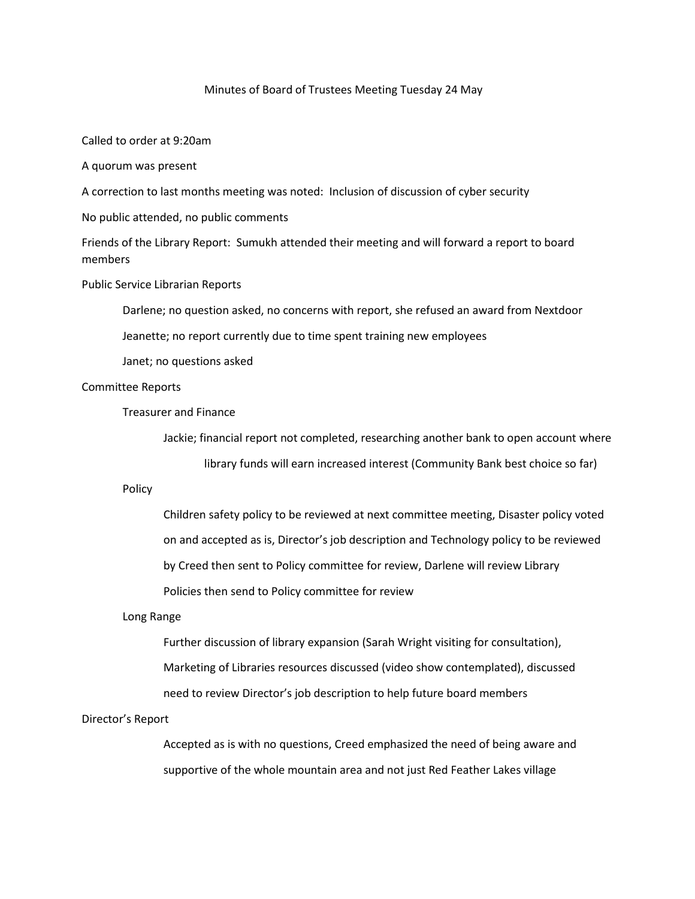#### Minutes of Board of Trustees Meeting Tuesday 24 May

Called to order at 9:20am

A quorum was present

A correction to last months meeting was noted: Inclusion of discussion of cyber security

No public attended, no public comments

Friends of the Library Report: Sumukh attended their meeting and will forward a report to board members

Public Service Librarian Reports

Darlene; no question asked, no concerns with report, she refused an award from Nextdoor

Jeanette; no report currently due to time spent training new employees

Janet; no questions asked

# Committee Reports

Treasurer and Finance

Jackie; financial report not completed, researching another bank to open account where library funds will earn increased interest (Community Bank best choice so far)

Policy

Children safety policy to be reviewed at next committee meeting, Disaster policy voted on and accepted as is, Director's job description and Technology policy to be reviewed by Creed then sent to Policy committee for review, Darlene will review Library Policies then send to Policy committee for review

# Long Range

Further discussion of library expansion (Sarah Wright visiting for consultation), Marketing of Libraries resources discussed (video show contemplated), discussed need to review Director's job description to help future board members

# Director's Report

Accepted as is with no questions, Creed emphasized the need of being aware and supportive of the whole mountain area and not just Red Feather Lakes village